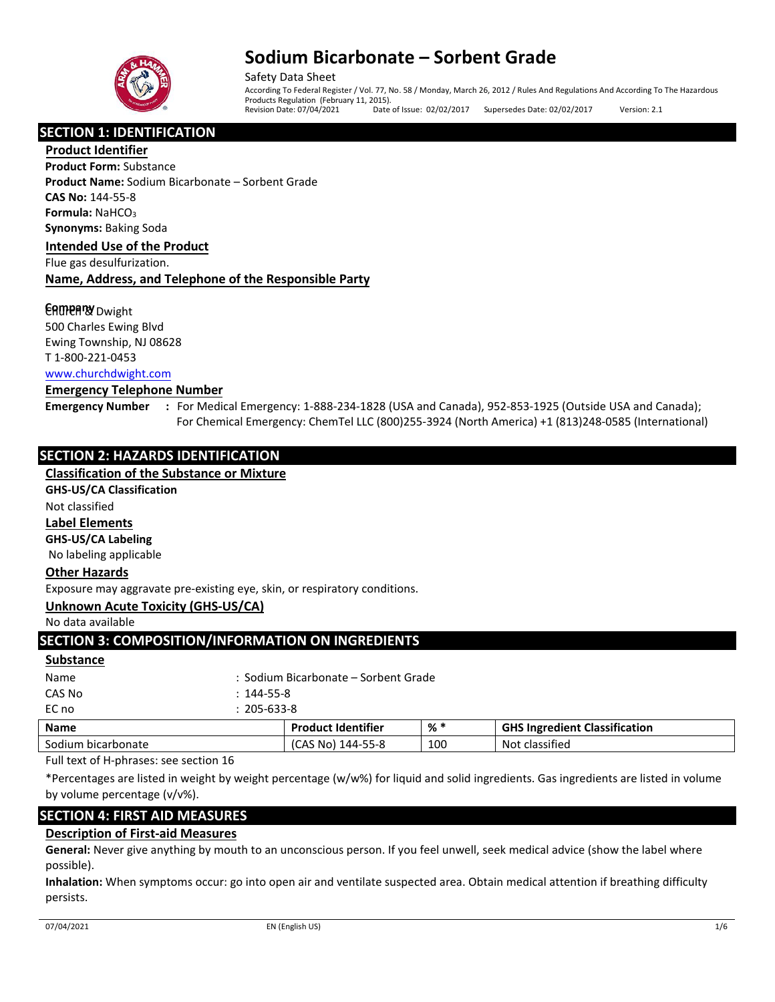

Safety Data Sheet According To Federal Register / Vol. 77, No. 58 / Monday, March 26, 2012 / Rules And Regulations And According To The Hazardous Products Regulation (February 11, 2015).<br>Revision Date: 07/04/2021 Date of Issue: 02/02/2017 Supersedes Date: 02/02/2017 Version: 2.1

# **SECTION 1: IDENTIFICATION**

**Product Identifier Product Form:** Substance **Product Name:** Sodium Bicarbonate – Sorbent Grade **CAS No:** 144-55-8 **Formula: NaHCO<sub>3</sub> Synonyms:** Baking Soda

#### **Intended Use of the Product**

Flue gas desulfurization.

## **Name, Address, and Telephone of the Responsible Party**

## **CAMPARY** Dwight

500 Charles Ewing Blvd Ewing Township, NJ 08628 T 1-800-221-0453 [www.churchdwight.com](http://www.churchdwight.com/)

#### **Emergency Telephone Number**

- 
- **Emergency Number :** For Medical Emergency: 1-888-234-1828 (USA and Canada), 952-853-1925 (Outside USA and Canada); For Chemical Emergency: ChemTel LLC (800)255-3924 (North America) +1 (813)248-0585 (International)

# **SECTION 2: HAZARDS IDENTIFICATION**

# **Classification of the Substance or Mixture**

## **GHS-US/CA Classification**

Not classified

# **Label Elements**

**GHS-US/CA Labeling** 

No labeling applicable

## **Other Hazards**

Exposure may aggravate pre-existing eye, skin, or respiratory conditions.

## **Unknown Acute Toxicity (GHS-US/CA)**

No data available

# **SECTION 3: COMPOSITION/INFORMATION ON INGREDIENTS**

#### **Substance**

| Name   |                   | <b>Droduct Identifier</b>            | •⊻ ∗ | GHS Ingradiant |
|--------|-------------------|--------------------------------------|------|----------------|
| EC no  | $: 205 - 633 - 8$ |                                      |      |                |
| CAS No | $: 144 - 55 - 8$  |                                      |      |                |
| Name   |                   | : Sodium Bicarbonate – Sorbent Grade |      |                |
|        |                   |                                      |      |                |

| <b>Name</b>                     | <b>Product Identifier</b> | % * | <b>GHS Ingredient Classification</b> |
|---------------------------------|---------------------------|-----|--------------------------------------|
| Sodium bicarbonate              | (CAS No) 144-55-8         | 100 | Not classified                       |
| $-11$ . The set of $\mathbf{r}$ |                           |     |                                      |

Full text of H-phrases: see section 16

\*Percentages are listed in weight by weight percentage (w/w%) for liquid and solid ingredients. Gas ingredients are listed in volume by volume percentage (v/v%).

# **SECTION 4: FIRST AID MEASURES**

# **Description of First-aid Measures**

**General:** Never give anything by mouth to an unconscious person. If you feel unwell, seek medical advice (show the label where possible).

**Inhalation:** When symptoms occur: go into open air and ventilate suspected area. Obtain medical attention if breathing difficulty persists.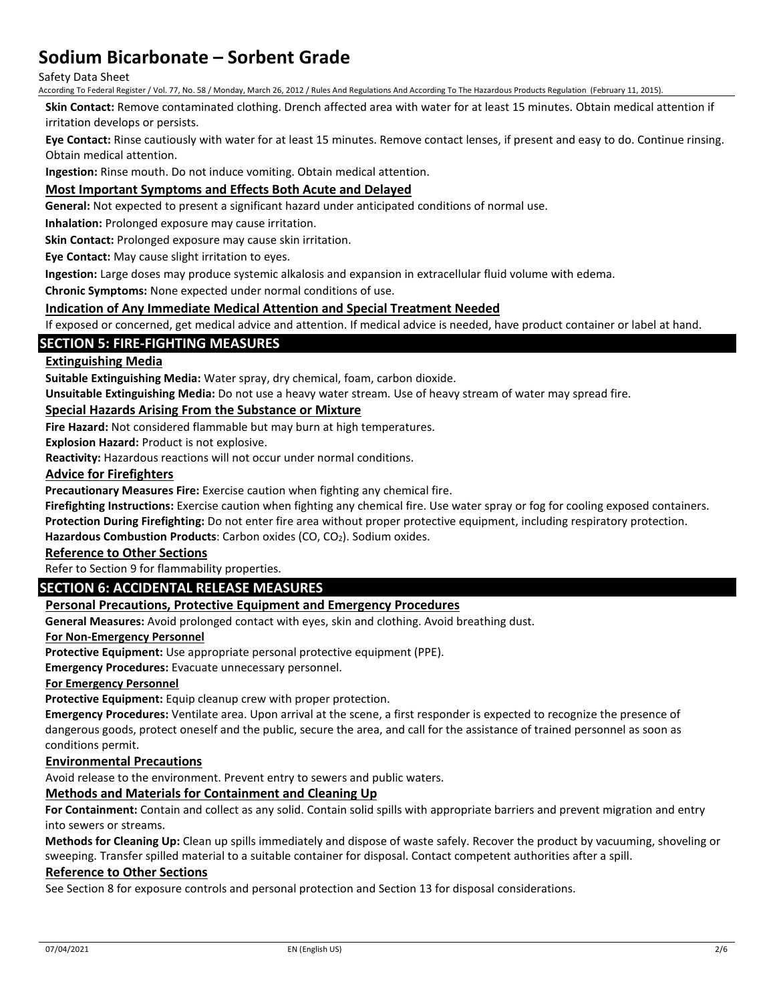#### Safety Data Sheet

According To Federal Register / Vol. 77, No. 58 / Monday, March 26, 2012 / Rules And Regulations And According To The Hazardous Products Regulation (February 11, 2015).

**Skin Contact:** Remove contaminated clothing. Drench affected area with water for at least 15 minutes. Obtain medical attention if irritation develops or persists.

**Eye Contact:** Rinse cautiously with water for at least 15 minutes. Remove contact lenses, if present and easy to do. Continue rinsing. Obtain medical attention.

**Ingestion:** Rinse mouth. Do not induce vomiting. Obtain medical attention.

## **Most Important Symptoms and Effects Both Acute and Delayed**

**General:** Not expected to present a significant hazard under anticipated conditions of normal use.

**Inhalation:** Prolonged exposure may cause irritation.

**Skin Contact:** Prolonged exposure may cause skin irritation.

**Eye Contact:** May cause slight irritation to eyes.

**Ingestion:** Large doses may produce systemic alkalosis and expansion in extracellular fluid volume with edema.

**Chronic Symptoms:** None expected under normal conditions of use.

#### **Indication of Any Immediate Medical Attention and Special Treatment Needed**

If exposed or concerned, get medical advice and attention. If medical advice is needed, have product container or label at hand.

## **SECTION 5: FIRE-FIGHTING MEASURES**

## **Extinguishing Media**

**Suitable Extinguishing Media:** Water spray, dry chemical, foam, carbon dioxide.

**Unsuitable Extinguishing Media:** Do not use a heavy water stream. Use of heavy stream of water may spread fire.

#### **Special Hazards Arising From the Substance or Mixture**

**Fire Hazard:** Not considered flammable but may burn at high temperatures.

**Explosion Hazard:** Product is not explosive.

**Reactivity:** Hazardous reactions will not occur under normal conditions.

#### **Advice for Firefighters**

**Precautionary Measures Fire:** Exercise caution when fighting any chemical fire.

**Firefighting Instructions:** Exercise caution when fighting any chemical fire. Use water spray or fog for cooling exposed containers.

**Protection During Firefighting:** Do not enter fire area without proper protective equipment, including respiratory protection.

Hazardous Combustion Products: Carbon oxides (CO, CO<sub>2</sub>). Sodium oxides.

# **Reference to Other Sections**

Refer to Section 9 for flammability properties.

# **SECTION 6: ACCIDENTAL RELEASE MEASURES**

### **Personal Precautions, Protective Equipment and Emergency Procedures**

**General Measures:** Avoid prolonged contact with eyes, skin and clothing. Avoid breathing dust.

#### **For Non-Emergency Personnel**

**Protective Equipment:** Use appropriate personal protective equipment (PPE).

**Emergency Procedures:** Evacuate unnecessary personnel.

#### **For Emergency Personnel**

**Protective Equipment:** Equip cleanup crew with proper protection.

**Emergency Procedures:** Ventilate area. Upon arrival at the scene, a first responder is expected to recognize the presence of dangerous goods, protect oneself and the public, secure the area, and call for the assistance of trained personnel as soon as conditions permit.

#### **Environmental Precautions**

Avoid release to the environment. Prevent entry to sewers and public waters.

# **Methods and Materials for Containment and Cleaning Up**

**For Containment:** Contain and collect as any solid. Contain solid spills with appropriate barriers and prevent migration and entry into sewers or streams.

**Methods for Cleaning Up:** Clean up spills immediately and dispose of waste safely. Recover the product by vacuuming, shoveling or sweeping. Transfer spilled material to a suitable container for disposal. Contact competent authorities after a spill.

#### **Reference to Other Sections**

See Section 8 for exposure controls and personal protection and Section 13 for disposal considerations.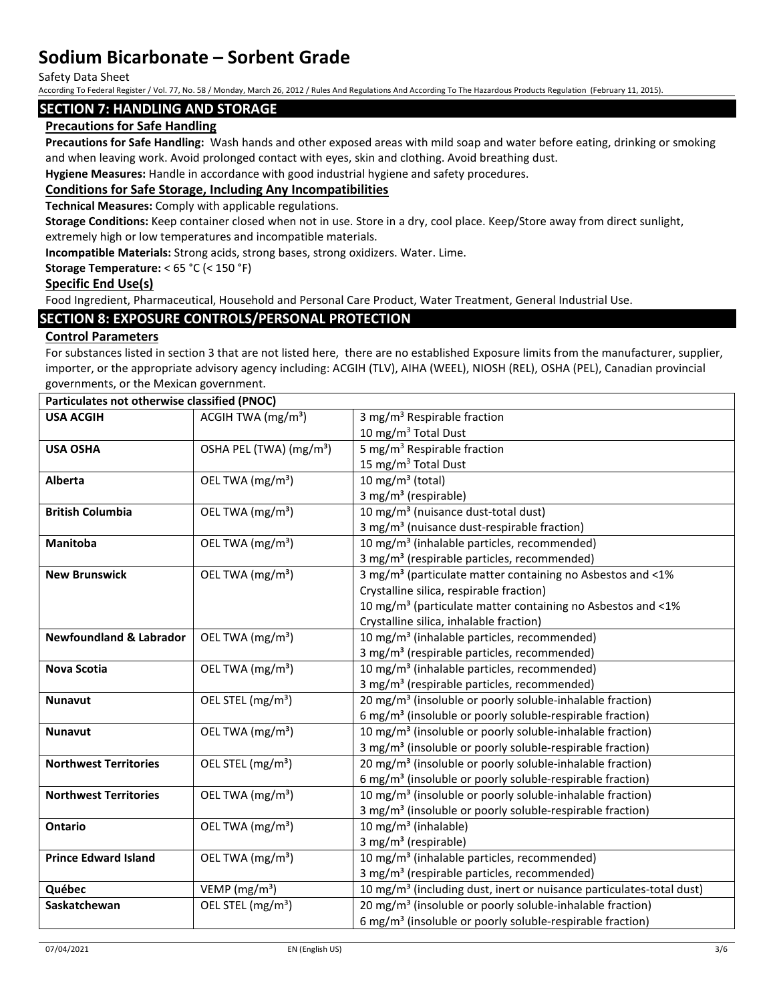Safety Data Sheet

According To Federal Register / Vol. 77, No. 58 / Monday, March 26, 2012 / Rules And Regulations And According To The Hazardous Products Regulation (February 11, 2015).

## **SECTION 7: HANDLING AND STORAGE**

# **Precautions for Safe Handling**

**Precautions for Safe Handling:** Wash hands and other exposed areas with mild soap and water before eating, drinking or smoking and when leaving work. Avoid prolonged contact with eyes, skin and clothing. Avoid breathing dust.

**Hygiene Measures:** Handle in accordance with good industrial hygiene and safety procedures.

## **Conditions for Safe Storage, Including Any Incompatibilities**

**Technical Measures:** Comply with applicable regulations.

**Storage Conditions:** Keep container closed when not in use. Store in a dry, cool place. Keep/Store away from direct sunlight, extremely high or low temperatures and incompatible materials.

**Incompatible Materials:** Strong acids, strong bases, strong oxidizers. Water. Lime.

#### **Storage Temperature:** < 65 °C (< 150 °F)

### **Specific End Use(s)**

Food Ingredient, Pharmaceutical, Household and Personal Care Product, Water Treatment, General Industrial Use.

# **SECTION 8: EXPOSURE CONTROLS/PERSONAL PROTECTION**

## **Control Parameters**

For substances listed in section 3 that are not listed here, there are no established Exposure limits from the manufacturer, supplier, importer, or the appropriate advisory agency including: ACGIH (TLV), AIHA (WEEL), NIOSH (REL), OSHA (PEL), Canadian provincial governments, or the Mexican government.

| Particulates not otherwise classified (PNOC) |                                     |                                                                                  |  |
|----------------------------------------------|-------------------------------------|----------------------------------------------------------------------------------|--|
| <b>USA ACGIH</b>                             | ACGIH TWA $(mg/m3)$                 | 3 mg/m <sup>3</sup> Respirable fraction                                          |  |
|                                              |                                     | 10 mg/m <sup>3</sup> Total Dust                                                  |  |
| <b>USA OSHA</b>                              | OSHA PEL (TWA) (mg/m <sup>3</sup> ) | $\overline{5}$ mg/m <sup>3</sup> Respirable fraction                             |  |
|                                              |                                     | 15 mg/m <sup>3</sup> Total Dust                                                  |  |
| Alberta                                      | OEL TWA (mg/m <sup>3</sup> )        | 10 mg/m $3$ (total)                                                              |  |
|                                              |                                     | 3 mg/m <sup>3</sup> (respirable)                                                 |  |
| <b>British Columbia</b>                      | OEL TWA (mg/m <sup>3</sup> )        | 10 mg/m <sup>3</sup> (nuisance dust-total dust)                                  |  |
|                                              |                                     | 3 mg/m <sup>3</sup> (nuisance dust-respirable fraction)                          |  |
| Manitoba                                     | OEL TWA (mg/m <sup>3</sup> )        | 10 mg/m <sup>3</sup> (inhalable particles, recommended)                          |  |
|                                              |                                     | 3 mg/m <sup>3</sup> (respirable particles, recommended)                          |  |
| <b>New Brunswick</b>                         | OEL TWA (mg/m <sup>3</sup> )        | 3 mg/m <sup>3</sup> (particulate matter containing no Asbestos and <1%           |  |
|                                              |                                     | Crystalline silica, respirable fraction)                                         |  |
|                                              |                                     | 10 mg/m <sup>3</sup> (particulate matter containing no Asbestos and <1%          |  |
|                                              |                                     | Crystalline silica, inhalable fraction)                                          |  |
| <b>Newfoundland &amp; Labrador</b>           | OEL TWA (mg/m <sup>3</sup> )        | 10 mg/m <sup>3</sup> (inhalable particles, recommended)                          |  |
|                                              |                                     | 3 mg/m <sup>3</sup> (respirable particles, recommended)                          |  |
| <b>Nova Scotia</b>                           | OEL TWA (mg/m <sup>3</sup> )        | 10 mg/m <sup>3</sup> (inhalable particles, recommended)                          |  |
|                                              |                                     | 3 mg/m <sup>3</sup> (respirable particles, recommended)                          |  |
| <b>Nunavut</b>                               | OEL STEL (mg/m <sup>3</sup> )       | 20 mg/m <sup>3</sup> (insoluble or poorly soluble-inhalable fraction)            |  |
|                                              |                                     | 6 mg/m <sup>3</sup> (insoluble or poorly soluble-respirable fraction)            |  |
| <b>Nunavut</b>                               | OEL TWA (mg/m <sup>3</sup> )        | 10 mg/m <sup>3</sup> (insoluble or poorly soluble-inhalable fraction)            |  |
|                                              |                                     | 3 mg/m <sup>3</sup> (insoluble or poorly soluble-respirable fraction)            |  |
| <b>Northwest Territories</b>                 | OEL STEL (mg/m <sup>3</sup> )       | 20 mg/m <sup>3</sup> (insoluble or poorly soluble-inhalable fraction)            |  |
|                                              |                                     | 6 mg/m <sup>3</sup> (insoluble or poorly soluble-respirable fraction)            |  |
| <b>Northwest Territories</b>                 | OEL TWA (mg/m <sup>3</sup> )        | 10 mg/m <sup>3</sup> (insoluble or poorly soluble-inhalable fraction)            |  |
|                                              |                                     | 3 mg/m <sup>3</sup> (insoluble or poorly soluble-respirable fraction)            |  |
| <b>Ontario</b>                               | OEL TWA (mg/m <sup>3</sup> )        | 10 mg/m <sup>3</sup> (inhalable)                                                 |  |
|                                              |                                     | 3 mg/m <sup>3</sup> (respirable)                                                 |  |
| <b>Prince Edward Island</b>                  | OEL TWA (mg/m <sup>3</sup> )        | 10 mg/m <sup>3</sup> (inhalable particles, recommended)                          |  |
|                                              |                                     | 3 mg/m <sup>3</sup> (respirable particles, recommended)                          |  |
| Québec                                       | VEMP ( $mg/m3$ )                    | 10 mg/m <sup>3</sup> (including dust, inert or nuisance particulates-total dust) |  |
| Saskatchewan                                 | OEL STEL (mg/m <sup>3</sup> )       | 20 mg/m <sup>3</sup> (insoluble or poorly soluble-inhalable fraction)            |  |
|                                              |                                     | 6 mg/m <sup>3</sup> (insoluble or poorly soluble-respirable fraction)            |  |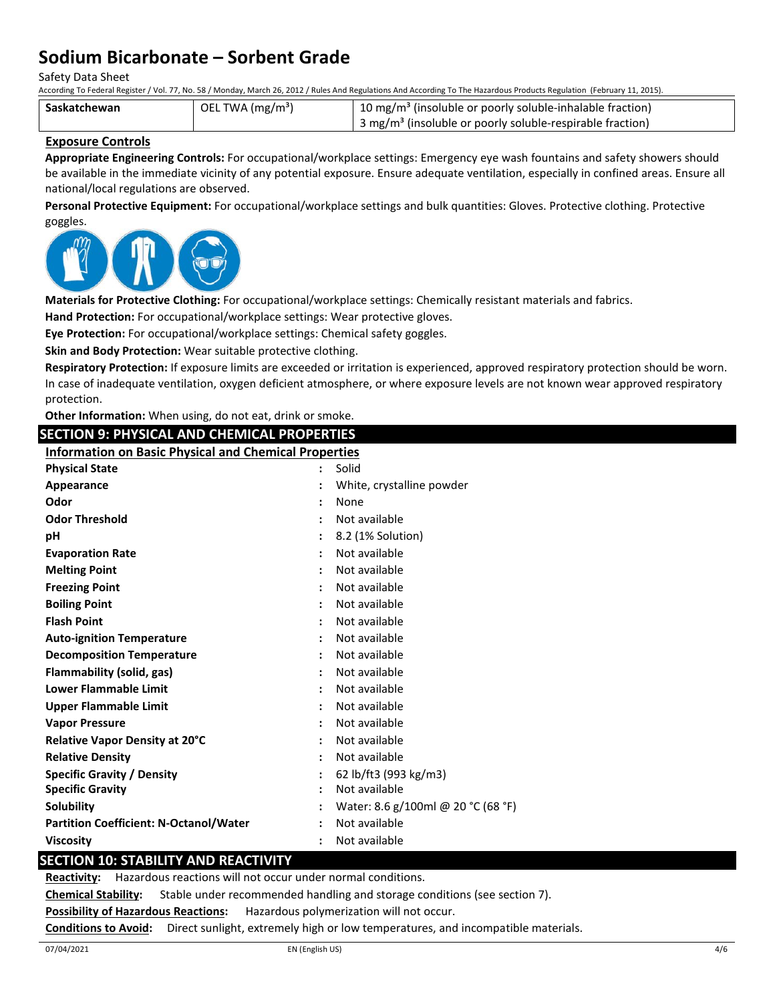Safety Data Sheet

According To Federal Register / Vol. 77, No. 58 / Monday, March 26, 2012 / Rules And Regulations And According To The Hazardous Products Regulation (February 11, 2015).

| Saskatchewan | OEL TWA (mg/m <sup>3</sup> ) | <sup>1</sup> 10 mg/m <sup>3</sup> (insoluble or poorly soluble-inhalable fraction)  |
|--------------|------------------------------|-------------------------------------------------------------------------------------|
|              |                              | $\frac{1}{2}$ 3 mg/m <sup>3</sup> (insoluble or poorly soluble-respirable fraction) |

### **Exposure Controls**

**Appropriate Engineering Controls:** For occupational/workplace settings: Emergency eye wash fountains and safety showers should be available in the immediate vicinity of any potential exposure. Ensure adequate ventilation, especially in confined areas. Ensure all national/local regulations are observed.

**Personal Protective Equipment:** For occupational/workplace settings and bulk quantities: Gloves. Protective clothing. Protective goggles.



**Materials for Protective Clothing:** For occupational/workplace settings: Chemically resistant materials and fabrics.

**Hand Protection:** For occupational/workplace settings: Wear protective gloves.

**Eye Protection:** For occupational/workplace settings: Chemical safety goggles.

**Skin and Body Protection:** Wear suitable protective clothing.

**Respiratory Protection:** If exposure limits are exceeded or irritation is experienced, approved respiratory protection should be worn. In case of inadequate ventilation, oxygen deficient atmosphere, or where exposure levels are not known wear approved respiratory

| protection.                                                |                                                              |                                    |  |  |
|------------------------------------------------------------|--------------------------------------------------------------|------------------------------------|--|--|
| Other Information: When using, do not eat, drink or smoke. |                                                              |                                    |  |  |
|                                                            | <b>SECTION 9: PHYSICAL AND CHEMICAL PROPERTIES</b>           |                                    |  |  |
|                                                            | <b>Information on Basic Physical and Chemical Properties</b> |                                    |  |  |
| <b>Physical State</b>                                      |                                                              | Solid                              |  |  |
| Appearance                                                 |                                                              | White, crystalline powder          |  |  |
| Odor                                                       |                                                              | None                               |  |  |
| <b>Odor Threshold</b>                                      |                                                              | Not available                      |  |  |
| рH                                                         |                                                              | 8.2 (1% Solution)                  |  |  |
| <b>Evaporation Rate</b>                                    |                                                              | Not available                      |  |  |
| <b>Melting Point</b>                                       |                                                              | Not available                      |  |  |
| <b>Freezing Point</b>                                      |                                                              | Not available                      |  |  |
| <b>Boiling Point</b>                                       |                                                              | Not available                      |  |  |
| <b>Flash Point</b>                                         |                                                              | Not available                      |  |  |
| <b>Auto-ignition Temperature</b>                           |                                                              | Not available                      |  |  |
| <b>Decomposition Temperature</b>                           |                                                              | Not available                      |  |  |
| Flammability (solid, gas)                                  |                                                              | Not available                      |  |  |
| <b>Lower Flammable Limit</b>                               |                                                              | Not available                      |  |  |
| <b>Upper Flammable Limit</b>                               |                                                              | Not available                      |  |  |
| <b>Vapor Pressure</b>                                      |                                                              | Not available                      |  |  |
| Relative Vapor Density at 20°C                             |                                                              | Not available                      |  |  |
| <b>Relative Density</b>                                    |                                                              | Not available                      |  |  |
| <b>Specific Gravity / Density</b>                          |                                                              | 62 lb/ft3 (993 kg/m3)              |  |  |
| <b>Specific Gravity</b>                                    |                                                              | Not available                      |  |  |
| Solubility                                                 |                                                              | Water: 8.6 g/100ml @ 20 °C (68 °F) |  |  |
| <b>Partition Coefficient: N-Octanol/Water</b>              |                                                              | Not available                      |  |  |
| <b>Viscosity</b>                                           |                                                              | Not available                      |  |  |
| <b>SECTION 10: STABILITY AND REACTIVITY</b>                |                                                              |                                    |  |  |

**Reactivity:** Hazardous reactions will not occur under normal conditions.

**Chemical Stability:** Stable under recommended handling and storage conditions (see section 7).

**Possibility of Hazardous Reactions:** Hazardous polymerization will not occur.

**Conditions to Avoid:** Direct sunlight, extremely high or low temperatures, and incompatible materials.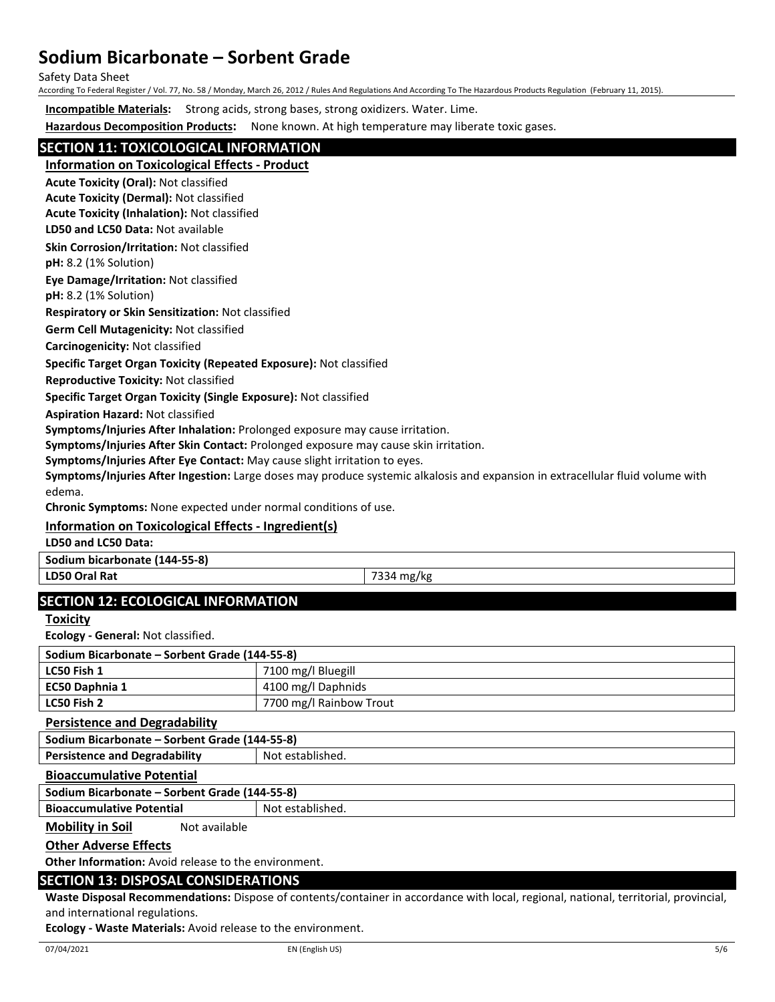Safety Data Sheet

According To Federal Register / Vol. 77, No. 58 / Monday, March 26, 2012 / Rules And Regulations And According To The Hazardous Products Regulation (February 11, 2015).

**Incompatible Materials:** Strong acids, strong bases, strong oxidizers. Water. Lime.

**Hazardous Decomposition Products:** None known. At high temperature may liberate toxic gases.

# **SECTION 11: TOXICOLOGICAL INFORMATION**

**Information on Toxicological Effects - Product**

**Acute Toxicity (Oral):** Not classified

**Acute Toxicity (Dermal):** Not classified **Acute Toxicity (Inhalation):** Not classified

**LD50 and LC50 Data:** Not available

**Skin Corrosion/Irritation:** Not classified

**pH:** 8.2 (1% Solution)

**Eye Damage/Irritation:** Not classified

**pH:** 8.2 (1% Solution)

**Respiratory or Skin Sensitization:** Not classified

**Germ Cell Mutagenicity:** Not classified

**Carcinogenicity:** Not classified

### **Specific Target Organ Toxicity (Repeated Exposure):** Not classified

**Reproductive Toxicity:** Not classified

**Specific Target Organ Toxicity (Single Exposure):** Not classified

**Aspiration Hazard:** Not classified

**Symptoms/Injuries After Inhalation:** Prolonged exposure may cause irritation.

**Symptoms/Injuries After Skin Contact:** Prolonged exposure may cause skin irritation.

**Symptoms/Injuries After Eye Contact:** May cause slight irritation to eyes.

**Symptoms/Injuries After Ingestion:** Large doses may produce systemic alkalosis and expansion in extracellular fluid volume with edema.

**Chronic Symptoms:** None expected under normal conditions of use.

# **Information on Toxicological Effects - Ingredient(s)**

**LD50 and LC50 Data:**

**Sodium bicarbonate (144-55-8)**

**LD50 Oral Rat** 7334 mg/kg

# **SECTION 12: ECOLOGICAL INFORMATION**

**Toxicity**

**Ecology - General:** Not classified.

| Sodium Bicarbonate – Sorbent Grade (144-55-8) |                         |  |  |
|-----------------------------------------------|-------------------------|--|--|
| LC50 Fish 1                                   | 7100 mg/l Bluegill      |  |  |
| EC50 Daphnia 1                                | 4100 mg/l Daphnids      |  |  |
| LC50 Fish 2                                   | 7700 mg/l Rainbow Trout |  |  |

**Persistence and Degradability**

**Sodium Bicarbonate – Sorbent Grade (144-55-8) Persistence and Degradability | Not established.** 

#### **Bioaccumulative Potential**

**Sodium Bicarbonate – Sorbent Grade (144-55-8)**

**Bioaccumulative Potential Fig. 2016** Not established.

**Mobility in Soil** Not available

## **Other Adverse Effects**

**Other Information:** Avoid release to the environment.

# **SECTION 13: DISPOSAL CONSIDERATIONS**

**Waste Disposal Recommendations:** Dispose of contents/container in accordance with local, regional, national, territorial, provincial, and international regulations.

**Ecology - Waste Materials:** Avoid release to the environment.